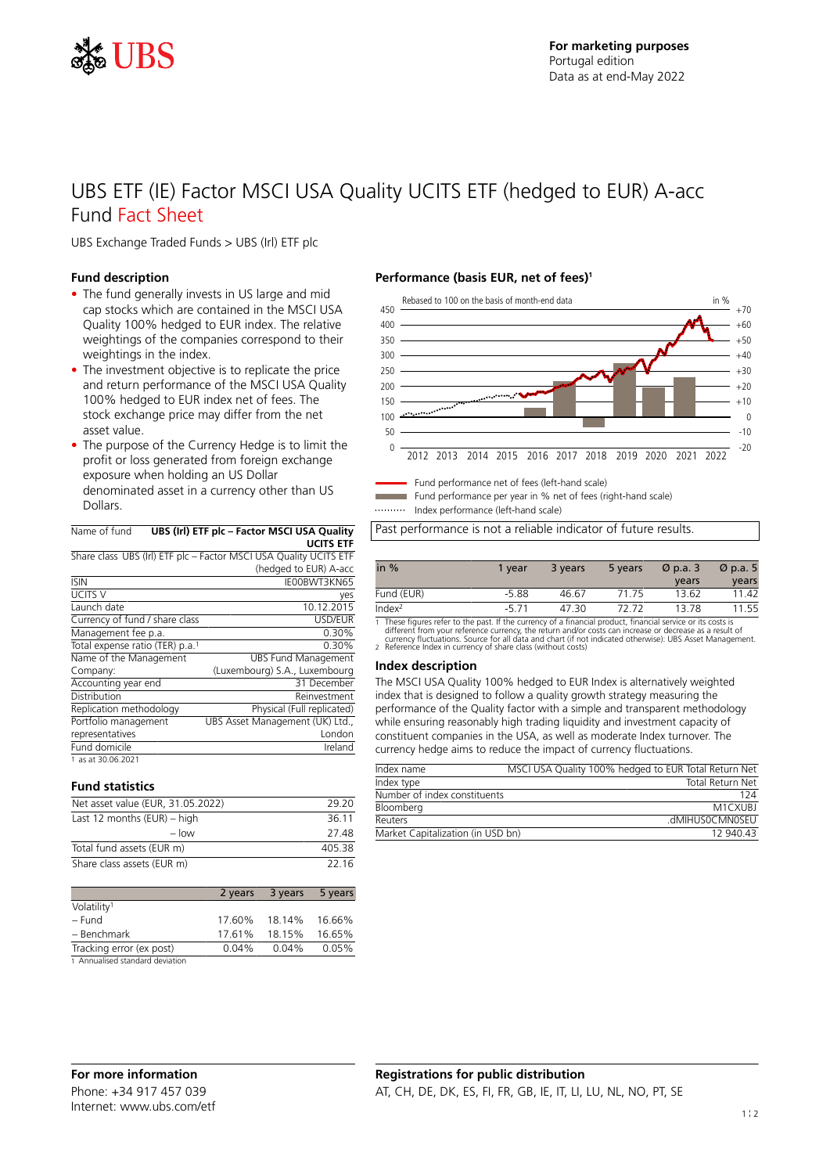

## UBS ETF (IE) Factor MSCI USA Quality UCITS ETF (hedged to EUR) A-acc Fund Fact Sheet

UBS Exchange Traded Funds > UBS (Irl) ETF plc

#### **Fund description**

- The fund generally invests in US large and mid cap stocks which are contained in the MSCI USA Quality 100% hedged to EUR index. The relative weightings of the companies correspond to their weightings in the index.
- The investment objective is to replicate the price and return performance of the MSCI USA Quality 100% hedged to EUR index net of fees. The stock exchange price may differ from the net asset value.
- The purpose of the Currency Hedge is to limit the profit or loss generated from foreign exchange exposure when holding an US Dollar denominated asset in a currency other than US Dollars.

| Name of fund UBS (Irl) ETF plc - Factor MSCI USA Quality |
|----------------------------------------------------------|

|                                             | <b>UCITS ETF</b>                                                  |
|---------------------------------------------|-------------------------------------------------------------------|
|                                             | Share class UBS (Irl) ETF plc - Factor MSCI USA Quality UCITS ETF |
|                                             | (hedged to EUR) A-acc                                             |
| <b>ISIN</b>                                 | IE00BWT3KN65                                                      |
| UCITS V                                     | yes                                                               |
| Launch date                                 | 10.12.2015                                                        |
| Currency of fund / share class              | USD/EUR                                                           |
| Management fee p.a.                         | 0.30%                                                             |
| Total expense ratio (TER) p.a. <sup>1</sup> | 0.30%                                                             |
| Name of the Management                      | <b>UBS Fund Management</b>                                        |
| Company:                                    | (Luxembourg) S.A., Luxembourg                                     |
| Accounting year end                         | 31 December                                                       |
| Distribution                                | Reinvestment                                                      |
| Replication methodology                     | Physical (Full replicated)                                        |
| Portfolio management                        | UBS Asset Management (UK) Ltd.,                                   |
| representatives                             | London                                                            |
| Fund domicile                               | Ireland                                                           |
|                                             |                                                                   |

1 as at 30.06.2021

#### **Fund statistics**

| Net asset value (EUR, 31.05.2022) | 29.20  |
|-----------------------------------|--------|
| Last 12 months $(EUR)$ – high     | 36.11  |
| $-$ low                           | 27 48  |
| Total fund assets (EUR m)         | 405.38 |
| Share class assets (EUR m)        | 22 16  |

|                                 |          | 2 years 3 years | 5 years |
|---------------------------------|----------|-----------------|---------|
| Volatility <sup>1</sup>         |          |                 |         |
| – Fund                          | 17.60%   | 18.14%          | 16.66%  |
| - Benchmark                     | 17.61%   | 18.15%          | 16.65%  |
| Tracking error (ex post)        | $0.04\%$ | 0.04%           | 0.05%   |
| 1 Annualised standard deviation |          |                 |         |

#### **Performance (basis EUR, net of fees)<sup>1</sup>**



Fund performance net of fees (left-hand scale) Fund performance per year in % net of fees (right-hand scale)

Index performance (left-hand scale)

Past performance is not a reliable indicator of future results.

| in $%$             | 1 vear  | 3 years | 5 years | $\varnothing$ p.a. 3 | $\varnothing$ p.a. 5 |
|--------------------|---------|---------|---------|----------------------|----------------------|
|                    |         |         |         | years                | years                |
| Fund (EUR)         | $-5.88$ | 46.67   | 71.75   | 13.62                | 11.42                |
| Index <sup>2</sup> | $-571$  | 47.30   | 72.72   | 1378                 | 11.55                |

1 These figures refer to the past. If the currency of a financial product, financial service or its costs is<br>different from your reference currency, the return and/or costs can increase or decrease as a result of<br>currency

#### **Index description**

The MSCI USA Quality 100% hedged to EUR Index is alternatively weighted index that is designed to follow a quality growth strategy measuring the performance of the Quality factor with a simple and transparent methodology while ensuring reasonably high trading liquidity and investment capacity of constituent companies in the USA, as well as moderate Index turnover. The currency hedge aims to reduce the impact of currency fluctuations.

| Index name                        | MSCI USA Quality 100% hedged to EUR Total Return Net |
|-----------------------------------|------------------------------------------------------|
| Index type                        | <b>Total Return Net</b>                              |
| Number of index constituents      | 124                                                  |
| Bloomberg                         | M1CXUBJ                                              |
| Reuters                           | .dMIHUSOCMNOSEU                                      |
| Market Capitalization (in USD bn) | 12 940 43                                            |